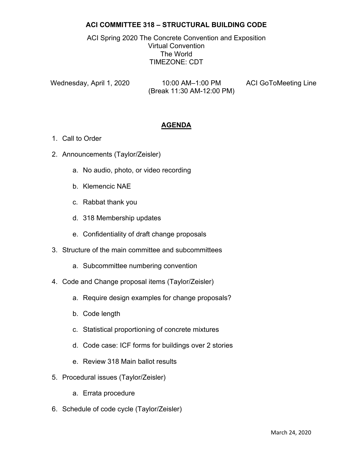## **ACI COMMITTEE 318 – STRUCTURAL BUILDING CODE**

ACI Spring 2020 The Concrete Convention and Exposition Virtual Convention The World TIMEZONE: CDT

Wednesday, April 1, 2020 10:00 AM–1:00 PM ACI GoToMeeting Line (Break 11:30 AM-12:00 PM)

## **AGENDA**

- 1. Call to Order
- 2. Announcements (Taylor/Zeisler)
	- a. No audio, photo, or video recording
	- b. Klemencic NAE
	- c. Rabbat thank you
	- d. 318 Membership updates
	- e. Confidentiality of draft change proposals
- 3. Structure of the main committee and subcommittees
	- a. Subcommittee numbering convention
- 4. Code and Change proposal items (Taylor/Zeisler)
	- a. Require design examples for change proposals?
	- b. Code length
	- c. Statistical proportioning of concrete mixtures
	- d. Code case: ICF forms for buildings over 2 stories
	- e. Review 318 Main ballot results
- 5. Procedural issues (Taylor/Zeisler)
	- a. Errata procedure
- 6. Schedule of code cycle (Taylor/Zeisler)